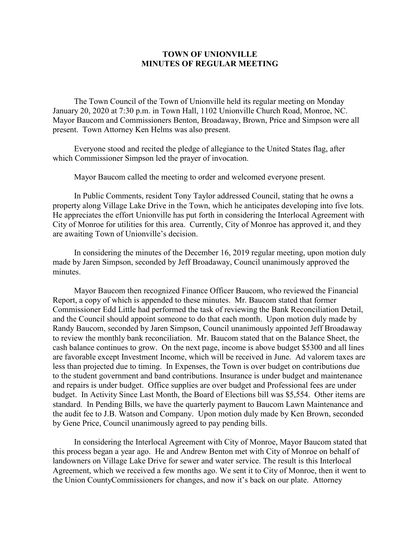## **TOWN OF UNIONVILLE MINUTES OF REGULAR MEETING**

The Town Council of the Town of Unionville held its regular meeting on Monday January 20, 2020 at 7:30 p.m. in Town Hall, 1102 Unionville Church Road, Monroe, NC. Mayor Baucom and Commissioners Benton, Broadaway, Brown, Price and Simpson were all present. Town Attorney Ken Helms was also present.

Everyone stood and recited the pledge of allegiance to the United States flag, after which Commissioner Simpson led the prayer of invocation.

Mayor Baucom called the meeting to order and welcomed everyone present.

In Public Comments, resident Tony Taylor addressed Council, stating that he owns a property along Village Lake Drive in the Town, which he anticipates developing into five lots. He appreciates the effort Unionville has put forth in considering the Interlocal Agreement with City of Monroe for utilities for this area. Currently, City of Monroe has approved it, and they are awaiting Town of Unionville's decision.

In considering the minutes of the December 16, 2019 regular meeting, upon motion duly made by Jaren Simpson, seconded by Jeff Broadaway, Council unanimously approved the minutes.

Mayor Baucom then recognized Finance Officer Baucom, who reviewed the Financial Report, a copy of which is appended to these minutes. Mr. Baucom stated that former Commissioner Edd Little had performed the task of reviewing the Bank Reconciliation Detail, and the Council should appoint someone to do that each month. Upon motion duly made by Randy Baucom, seconded by Jaren Simpson, Council unanimously appointed Jeff Broadaway to review the monthly bank reconciliation. Mr. Baucom stated that on the Balance Sheet, the cash balance continues to grow. On the next page, income is above budget \$5300 and all lines are favorable except Investment Income, which will be received in June. Ad valorem taxes are less than projected due to timing. In Expenses, the Town is over budget on contributions due to the student government and band contributions. Insurance is under budget and maintenance and repairs is under budget. Office supplies are over budget and Professional fees are under budget. In Activity Since Last Month, the Board of Elections bill was \$5,554. Other items are standard. In Pending Bills, we have the quarterly payment to Baucom Lawn Maintenance and the audit fee to J.B. Watson and Company. Upon motion duly made by Ken Brown, seconded by Gene Price, Council unanimously agreed to pay pending bills.

In considering the Interlocal Agreement with City of Monroe, Mayor Baucom stated that this process began a year ago. He and Andrew Benton met with City of Monroe on behalf of landowners on Village Lake Drive for sewer and water service. The result is this Interlocal Agreement, which we received a few months ago. We sent it to City of Monroe, then it went to the Union CountyCommissioners for changes, and now it's back on our plate. Attorney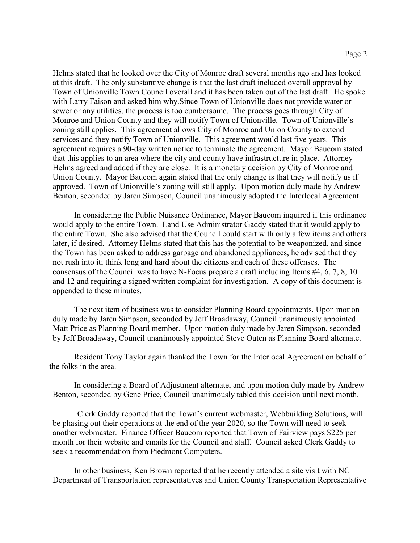Helms stated that he looked over the City of Monroe draft several months ago and has looked at this draft. The only substantive change is that the last draft included overall approval by Town of Unionville Town Council overall and it has been taken out of the last draft. He spoke with Larry Faison and asked him why.Since Town of Unionville does not provide water or sewer or any utilities, the process is too cumbersome. The process goes through City of Monroe and Union County and they will notify Town of Unionville. Town of Unionville's zoning still applies. This agreement allows City of Monroe and Union County to extend services and they notify Town of Unionville. This agreement would last five years. This agreement requires a 90-day written notice to terminate the agreement. Mayor Baucom stated that this applies to an area where the city and county have infrastructure in place. Attorney Helms agreed and added if they are close. It is a monetary decision by City of Monroe and Union County. Mayor Baucom again stated that the only change is that they will notify us if approved. Town of Unionville's zoning will still apply. Upon motion duly made by Andrew Benton, seconded by Jaren Simpson, Council unanimously adopted the Interlocal Agreement.

In considering the Public Nuisance Ordinance, Mayor Baucom inquired if this ordinance would apply to the entire Town. Land Use Administrator Gaddy stated that it would apply to the entire Town. She also advised that the Council could start with only a few items and others later, if desired. Attorney Helms stated that this has the potential to be weaponized, and since the Town has been asked to address garbage and abandoned appliances, he advised that they not rush into it; think long and hard about the citizens and each of these offenses. The consensus of the Council was to have N-Focus prepare a draft including Items #4, 6, 7, 8, 10 and 12 and requiring a signed written complaint for investigation. A copy of this document is appended to these minutes.

The next item of business was to consider Planning Board appointments. Upon motion duly made by Jaren Simpson, seconded by Jeff Broadaway, Council unanimously appointed Matt Price as Planning Board member. Upon motion duly made by Jaren Simpson, seconded by Jeff Broadaway, Council unanimously appointed Steve Outen as Planning Board alternate.

Resident Tony Taylor again thanked the Town for the Interlocal Agreement on behalf of the folks in the area.

In considering a Board of Adjustment alternate, and upon motion duly made by Andrew Benton, seconded by Gene Price, Council unanimously tabled this decision until next month.

Clerk Gaddy reported that the Town's current webmaster, Webbuilding Solutions, will be phasing out their operations at the end of the year 2020, so the Town will need to seek another webmaster. Finance Officer Baucom reported that Town of Fairview pays \$225 per month for their website and emails for the Council and staff. Council asked Clerk Gaddy to seek a recommendation from Piedmont Computers.

In other business, Ken Brown reported that he recently attended a site visit with NC Department of Transportation representatives and Union County Transportation Representative